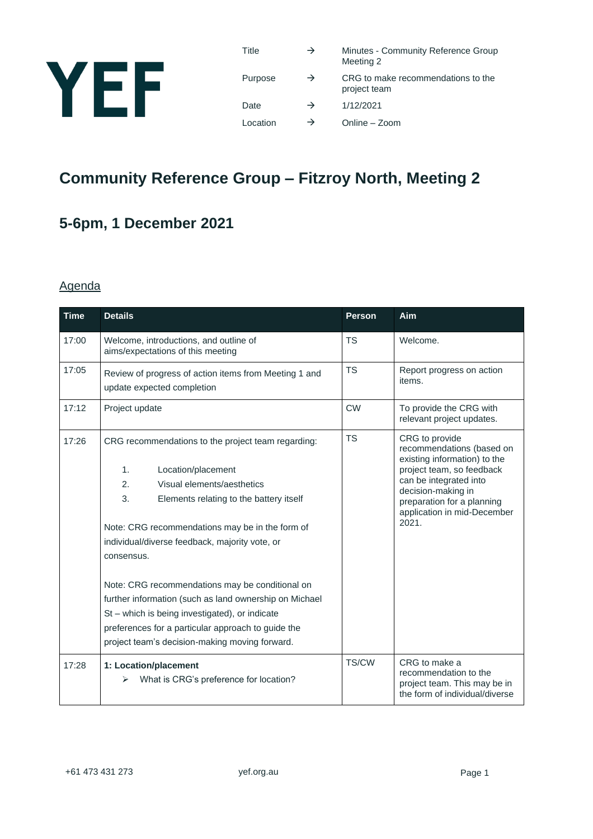

| Title    | $\rightarrow$ | Minutes - Community Reference Group<br>Meeting 2   |
|----------|---------------|----------------------------------------------------|
| Purpose  | $\rightarrow$ | CRG to make recommendations to the<br>project team |
| Date     | $\rightarrow$ | 1/12/2021                                          |
| Location | $\rightarrow$ | Online - Zoom                                      |

## **Community Reference Group – Fitzroy North, Meeting 2**

## **5-6pm, 1 December 2021**

#### Agenda

| <b>Time</b> | <b>Details</b>                                                                      | <b>Person</b> | Aim                                                                                                      |
|-------------|-------------------------------------------------------------------------------------|---------------|----------------------------------------------------------------------------------------------------------|
| 17:00       | Welcome, introductions, and outline of<br>aims/expectations of this meeting         | <b>TS</b>     | Welcome.                                                                                                 |
| 17:05       | Review of progress of action items from Meeting 1 and<br>update expected completion | <b>TS</b>     | Report progress on action<br>items.                                                                      |
| 17:12       | Project update                                                                      | <b>CW</b>     | To provide the CRG with<br>relevant project updates.                                                     |
| 17:26       | CRG recommendations to the project team regarding:<br>1.<br>Location/placement      | <b>TS</b>     | CRG to provide<br>recommendations (based on<br>existing information) to the<br>project team, so feedback |
|             | Visual elements/aesthetics<br>2.                                                    |               | can be integrated into                                                                                   |
|             | 3.<br>Elements relating to the battery itself                                       |               | decision-making in<br>preparation for a planning<br>application in mid-December                          |
|             | Note: CRG recommendations may be in the form of                                     |               | 2021.                                                                                                    |
|             | individual/diverse feedback, majority vote, or                                      |               |                                                                                                          |
|             | consensus.                                                                          |               |                                                                                                          |
|             | Note: CRG recommendations may be conditional on                                     |               |                                                                                                          |
|             | further information (such as land ownership on Michael                              |               |                                                                                                          |
|             | St - which is being investigated), or indicate                                      |               |                                                                                                          |
|             | preferences for a particular approach to guide the                                  |               |                                                                                                          |
|             | project team's decision-making moving forward.                                      |               |                                                                                                          |
| 17:28       | 1: Location/placement<br>What is CRG's preference for location?<br>⋗                | TS/CW         | CRG to make a<br>recommendation to the<br>project team. This may be in<br>the form of individual/diverse |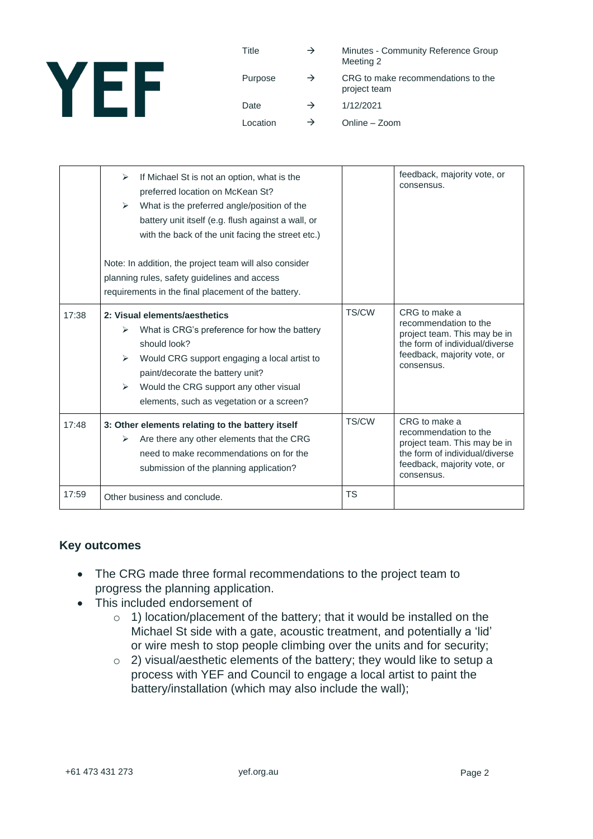

Title  $\rightarrow$  Minutes - Community Reference Group Meeting 2 Purpose  $\rightarrow$  CRG to make recommendations to the project team Date  $\rightarrow$  1/12/2021 Location  $\rightarrow$  Online – Zoom

|       | If Michael St is not an option, what is the<br>⋗<br>preferred location on McKean St?<br>What is the preferred angle/position of the<br>➤<br>battery unit itself (e.g. flush against a wall, or<br>with the back of the unit facing the street etc.)<br>Note: In addition, the project team will also consider<br>planning rules, safety guidelines and access<br>requirements in the final placement of the battery. |       | feedback, majority vote, or<br>consensus.                                                                                                             |
|-------|----------------------------------------------------------------------------------------------------------------------------------------------------------------------------------------------------------------------------------------------------------------------------------------------------------------------------------------------------------------------------------------------------------------------|-------|-------------------------------------------------------------------------------------------------------------------------------------------------------|
| 17:38 | 2: Visual elements/aesthetics<br>What is CRG's preference for how the battery<br>➤<br>should look?<br>Would CRG support engaging a local artist to<br>⋗<br>paint/decorate the battery unit?<br>Would the CRG support any other visual<br>$\blacktriangleright$<br>elements, such as vegetation or a screen?                                                                                                          | TS/CW | CRG to make a<br>recommendation to the<br>project team. This may be in<br>the form of individual/diverse<br>feedback, majority vote, or<br>consensus. |
| 17:48 | 3: Other elements relating to the battery itself<br>Are there any other elements that the CRG<br>➤<br>need to make recommendations on for the<br>submission of the planning application?                                                                                                                                                                                                                             | TS/CW | CRG to make a<br>recommendation to the<br>project team. This may be in<br>the form of individual/diverse<br>feedback, majority vote, or<br>consensus. |
| 17:59 | Other business and conclude.                                                                                                                                                                                                                                                                                                                                                                                         | TS    |                                                                                                                                                       |

#### **Key outcomes**

- The CRG made three formal recommendations to the project team to progress the planning application.
- This included endorsement of
	- o 1) location/placement of the battery; that it would be installed on the Michael St side with a gate, acoustic treatment, and potentially a 'lid' or wire mesh to stop people climbing over the units and for security;
	- o 2) visual/aesthetic elements of the battery; they would like to setup a process with YEF and Council to engage a local artist to paint the battery/installation (which may also include the wall);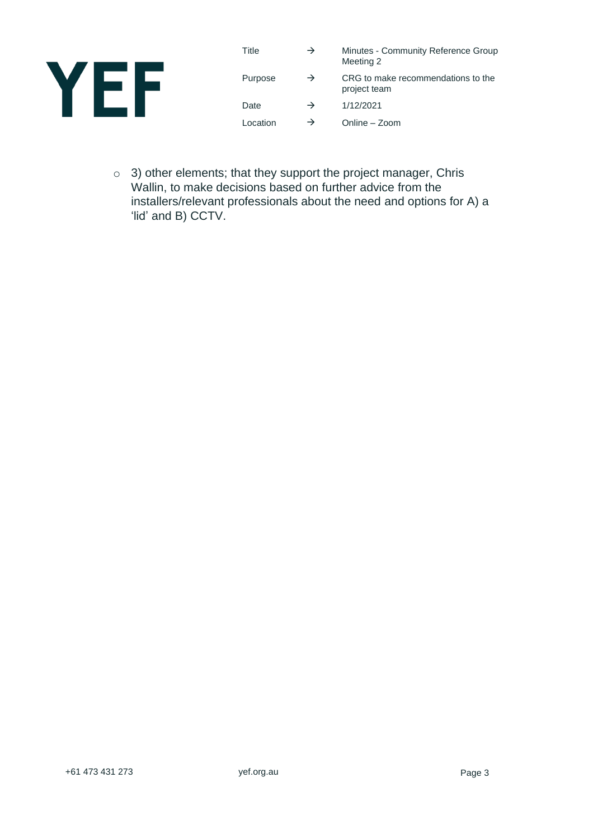

| Title    | $\rightarrow$ | Minutes - Community Reference Group<br>Meeting 2   |
|----------|---------------|----------------------------------------------------|
| Purpose  | $\rightarrow$ | CRG to make recommendations to the<br>project team |
| Date     | $\rightarrow$ | 1/12/2021                                          |
| Location | $\rightarrow$ | Online - Zoom                                      |

o 3) other elements; that they support the project manager, Chris Wallin, to make decisions based on further advice from the installers/relevant professionals about the need and options for A) a 'lid' and B) CCTV.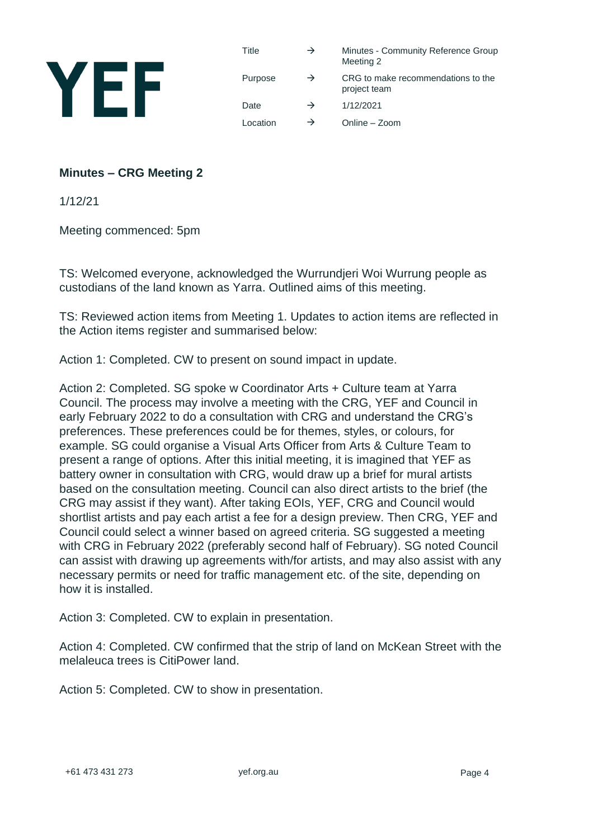

| Title    | $\rightarrow$ | Minutes - Community Reference Group<br>Meeting 2   |
|----------|---------------|----------------------------------------------------|
| Purpose  | $\rightarrow$ | CRG to make recommendations to the<br>project team |
| Date     | $\rightarrow$ | 1/12/2021                                          |
| Location | $\rightarrow$ | Online – Zoom                                      |

#### **Minutes – CRG Meeting 2**

1/12/21

Meeting commenced: 5pm

TS: Welcomed everyone, acknowledged the Wurrundjeri Woi Wurrung people as custodians of the land known as Yarra. Outlined aims of this meeting.

TS: Reviewed action items from Meeting 1. Updates to action items are reflected in the Action items register and summarised below:

Action 1: Completed. CW to present on sound impact in update.

Action 2: Completed. SG spoke w Coordinator Arts + Culture team at Yarra Council. The process may involve a meeting with the CRG, YEF and Council in early February 2022 to do a consultation with CRG and understand the CRG's preferences. These preferences could be for themes, styles, or colours, for example. SG could organise a Visual Arts Officer from Arts & Culture Team to present a range of options. After this initial meeting, it is imagined that YEF as battery owner in consultation with CRG, would draw up a brief for mural artists based on the consultation meeting. Council can also direct artists to the brief (the CRG may assist if they want). After taking EOIs, YEF, CRG and Council would shortlist artists and pay each artist a fee for a design preview. Then CRG, YEF and Council could select a winner based on agreed criteria. SG suggested a meeting with CRG in February 2022 (preferably second half of February). SG noted Council can assist with drawing up agreements with/for artists, and may also assist with any necessary permits or need for traffic management etc. of the site, depending on how it is installed.

Action 3: Completed. CW to explain in presentation.

Action 4: Completed. CW confirmed that the strip of land on McKean Street with the melaleuca trees is CitiPower land.

Action 5: Completed. CW to show in presentation.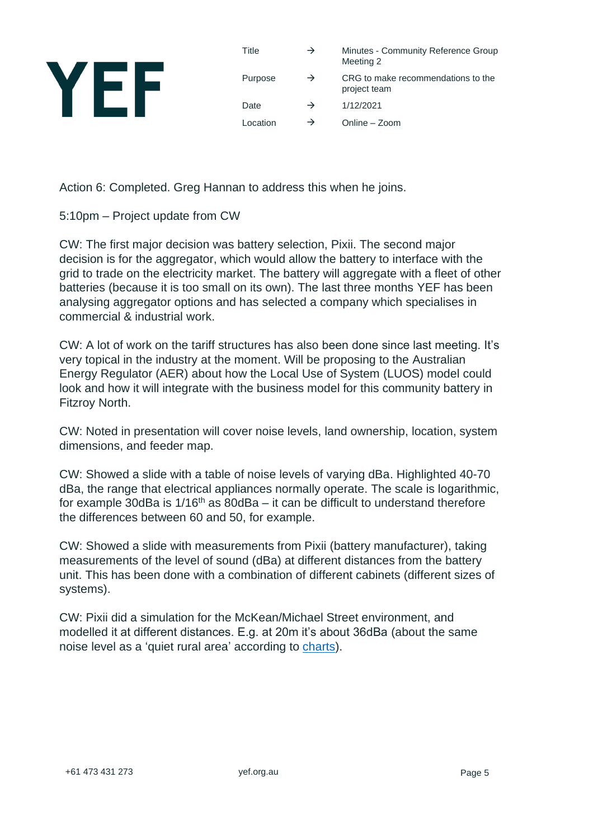

Action 6: Completed. Greg Hannan to address this when he joins.

5:10pm – Project update from CW

CW: The first major decision was battery selection, Pixii. The second major decision is for the aggregator, which would allow the battery to interface with the grid to trade on the electricity market. The battery will aggregate with a fleet of other batteries (because it is too small on its own). The last three months YEF has been analysing aggregator options and has selected a company which specialises in commercial & industrial work.

CW: A lot of work on the tariff structures has also been done since last meeting. It's very topical in the industry at the moment. Will be proposing to the Australian Energy Regulator (AER) about how the Local Use of System (LUOS) model could look and how it will integrate with the business model for this community battery in Fitzroy North.

CW: Noted in presentation will cover noise levels, land ownership, location, system dimensions, and feeder map.

CW: Showed a slide with a table of noise levels of varying dBa. Highlighted 40-70 dBa, the range that electrical appliances normally operate. The scale is logarithmic, for example 30dBa is  $1/16<sup>th</sup>$  as 80dBa – it can be difficult to understand therefore the differences between 60 and 50, for example.

CW: Showed a slide with measurements from Pixii (battery manufacturer), taking measurements of the level of sound (dBa) at different distances from the battery unit. This has been done with a combination of different cabinets (different sizes of systems).

CW: Pixii did a simulation for the McKean/Michael Street environment, and modelled it at different distances. E.g. at 20m it's about 36dBa (about the same noise level as a 'quiet rural area' according to [charts\)](https://www.iacacoustics.com/blog-full/comparative-examples-of-noise-levels.html).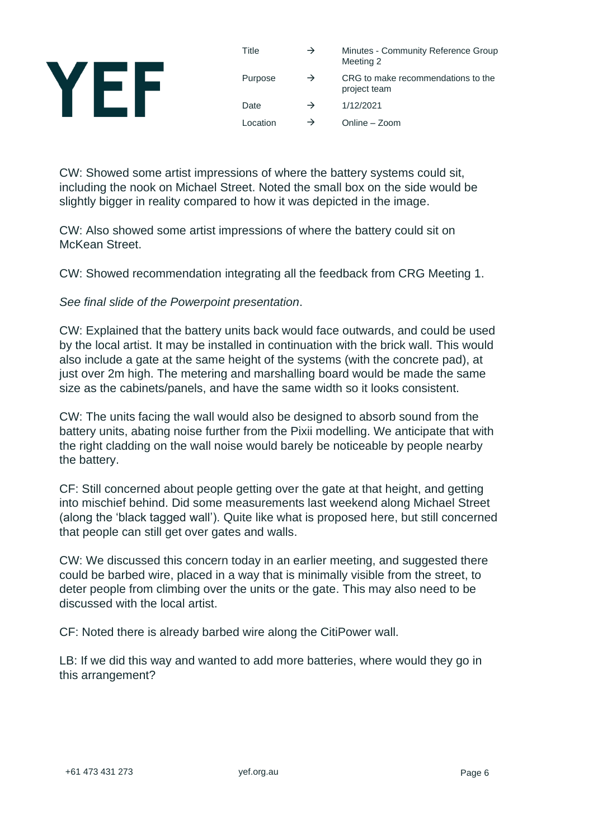# YEF

| Title    | $\rightarrow$ | Minutes - Community Reference Group<br>Meeting 2   |
|----------|---------------|----------------------------------------------------|
| Purpose  | $\rightarrow$ | CRG to make recommendations to the<br>project team |
| Date     | $\rightarrow$ | 1/12/2021                                          |
| Location | $\rightarrow$ | Online - Zoom                                      |

CW: Showed some artist impressions of where the battery systems could sit, including the nook on Michael Street. Noted the small box on the side would be slightly bigger in reality compared to how it was depicted in the image.

CW: Also showed some artist impressions of where the battery could sit on McKean Street.

CW: Showed recommendation integrating all the feedback from CRG Meeting 1.

*See final slide of the Powerpoint presentation*.

CW: Explained that the battery units back would face outwards, and could be used by the local artist. It may be installed in continuation with the brick wall. This would also include a gate at the same height of the systems (with the concrete pad), at just over 2m high. The metering and marshalling board would be made the same size as the cabinets/panels, and have the same width so it looks consistent.

CW: The units facing the wall would also be designed to absorb sound from the battery units, abating noise further from the Pixii modelling. We anticipate that with the right cladding on the wall noise would barely be noticeable by people nearby the battery.

CF: Still concerned about people getting over the gate at that height, and getting into mischief behind. Did some measurements last weekend along Michael Street (along the 'black tagged wall'). Quite like what is proposed here, but still concerned that people can still get over gates and walls.

CW: We discussed this concern today in an earlier meeting, and suggested there could be barbed wire, placed in a way that is minimally visible from the street, to deter people from climbing over the units or the gate. This may also need to be discussed with the local artist.

CF: Noted there is already barbed wire along the CitiPower wall.

LB: If we did this way and wanted to add more batteries, where would they go in this arrangement?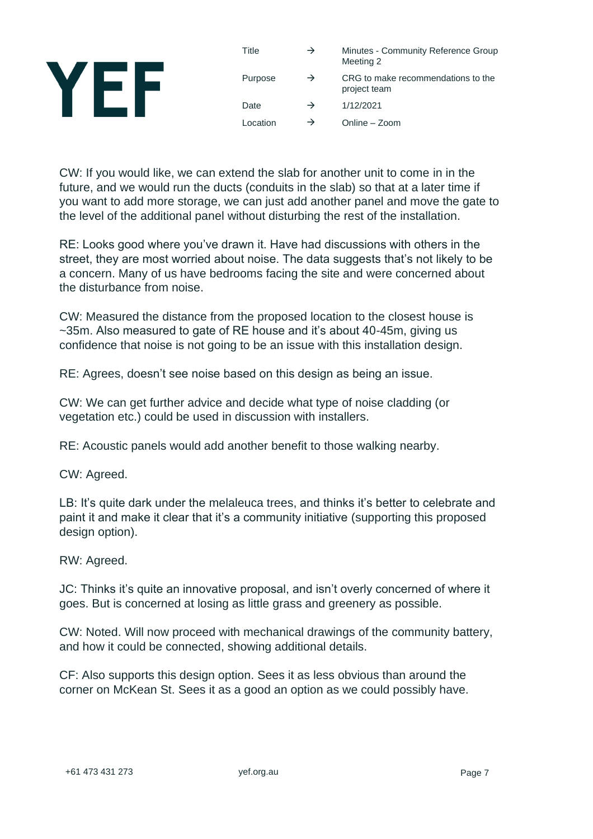| Title    | →             | Minutes - Community Reference Group<br>Meeting 2   |
|----------|---------------|----------------------------------------------------|
| Purpose  | $\rightarrow$ | CRG to make recommendations to the<br>project team |
| Date     |               | 1/12/2021                                          |
| Location |               | Online - Zoom                                      |

CW: If you would like, we can extend the slab for another unit to come in in the future, and we would run the ducts (conduits in the slab) so that at a later time if you want to add more storage, we can just add another panel and move the gate to the level of the additional panel without disturbing the rest of the installation.

RE: Looks good where you've drawn it. Have had discussions with others in the street, they are most worried about noise. The data suggests that's not likely to be a concern. Many of us have bedrooms facing the site and were concerned about the disturbance from noise.

CW: Measured the distance from the proposed location to the closest house is ~35m. Also measured to gate of RE house and it's about 40-45m, giving us confidence that noise is not going to be an issue with this installation design.

RE: Agrees, doesn't see noise based on this design as being an issue.

CW: We can get further advice and decide what type of noise cladding (or vegetation etc.) could be used in discussion with installers.

RE: Acoustic panels would add another benefit to those walking nearby.

CW: Agreed.

LB: It's quite dark under the melaleuca trees, and thinks it's better to celebrate and paint it and make it clear that it's a community initiative (supporting this proposed design option).

RW: Agreed.

JC: Thinks it's quite an innovative proposal, and isn't overly concerned of where it goes. But is concerned at losing as little grass and greenery as possible.

CW: Noted. Will now proceed with mechanical drawings of the community battery, and how it could be connected, showing additional details.

CF: Also supports this design option. Sees it as less obvious than around the corner on McKean St. Sees it as a good an option as we could possibly have.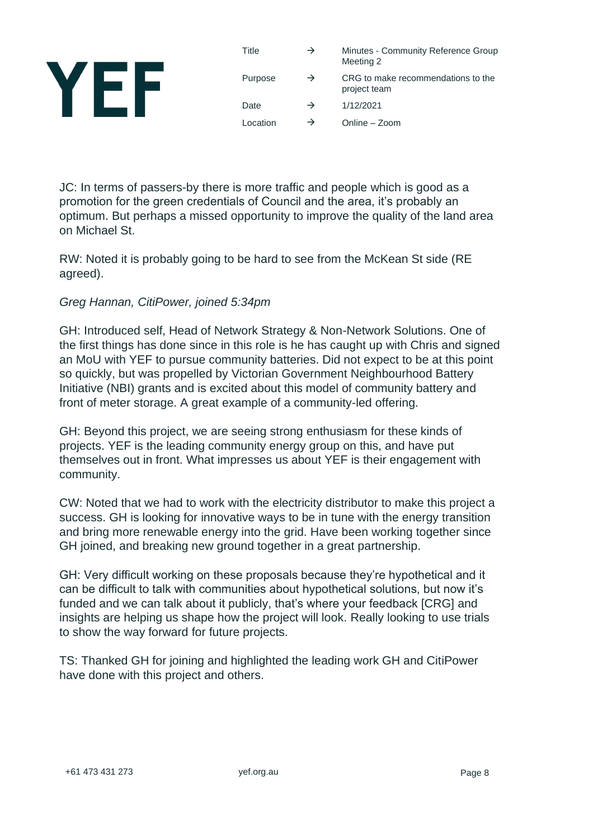#### Title  $\rightarrow$  Minutes - Community Reference Group Meeting 2 YEF Purpose  $\rightarrow$  CRG to make recommendations to the project team Date  $\rightarrow$  1/12/2021 Location  $\rightarrow$  Online – Zoom

JC: In terms of passers-by there is more traffic and people which is good as a promotion for the green credentials of Council and the area, it's probably an optimum. But perhaps a missed opportunity to improve the quality of the land area on Michael St.

RW: Noted it is probably going to be hard to see from the McKean St side (RE agreed).

#### *Greg Hannan, CitiPower, joined 5:34pm*

GH: Introduced self, Head of Network Strategy & Non-Network Solutions. One of the first things has done since in this role is he has caught up with Chris and signed an MoU with YEF to pursue community batteries. Did not expect to be at this point so quickly, but was propelled by Victorian Government Neighbourhood Battery Initiative (NBI) grants and is excited about this model of community battery and front of meter storage. A great example of a community-led offering.

GH: Beyond this project, we are seeing strong enthusiasm for these kinds of projects. YEF is the leading community energy group on this, and have put themselves out in front. What impresses us about YEF is their engagement with community.

CW: Noted that we had to work with the electricity distributor to make this project a success. GH is looking for innovative ways to be in tune with the energy transition and bring more renewable energy into the grid. Have been working together since GH joined, and breaking new ground together in a great partnership.

GH: Very difficult working on these proposals because they're hypothetical and it can be difficult to talk with communities about hypothetical solutions, but now it's funded and we can talk about it publicly, that's where your feedback [CRG] and insights are helping us shape how the project will look. Really looking to use trials to show the way forward for future projects.

TS: Thanked GH for joining and highlighted the leading work GH and CitiPower have done with this project and others.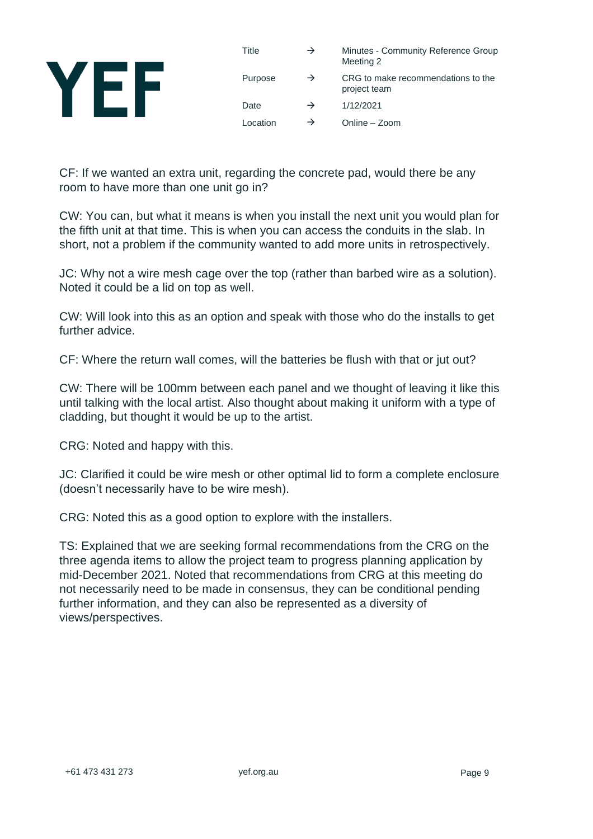

| Title    | $\rightarrow$ | Minutes - Community Reference Group<br>Meeting 2   |
|----------|---------------|----------------------------------------------------|
| Purpose  | $\rightarrow$ | CRG to make recommendations to the<br>project team |
| Date     | $\rightarrow$ | 1/12/2021                                          |
| Location | $\rightarrow$ | Online - Zoom                                      |

CF: If we wanted an extra unit, regarding the concrete pad, would there be any room to have more than one unit go in?

CW: You can, but what it means is when you install the next unit you would plan for the fifth unit at that time. This is when you can access the conduits in the slab. In short, not a problem if the community wanted to add more units in retrospectively.

JC: Why not a wire mesh cage over the top (rather than barbed wire as a solution). Noted it could be a lid on top as well.

CW: Will look into this as an option and speak with those who do the installs to get further advice.

CF: Where the return wall comes, will the batteries be flush with that or jut out?

CW: There will be 100mm between each panel and we thought of leaving it like this until talking with the local artist. Also thought about making it uniform with a type of cladding, but thought it would be up to the artist.

CRG: Noted and happy with this.

JC: Clarified it could be wire mesh or other optimal lid to form a complete enclosure (doesn't necessarily have to be wire mesh).

CRG: Noted this as a good option to explore with the installers.

TS: Explained that we are seeking formal recommendations from the CRG on the three agenda items to allow the project team to progress planning application by mid-December 2021. Noted that recommendations from CRG at this meeting do not necessarily need to be made in consensus, they can be conditional pending further information, and they can also be represented as a diversity of views/perspectives.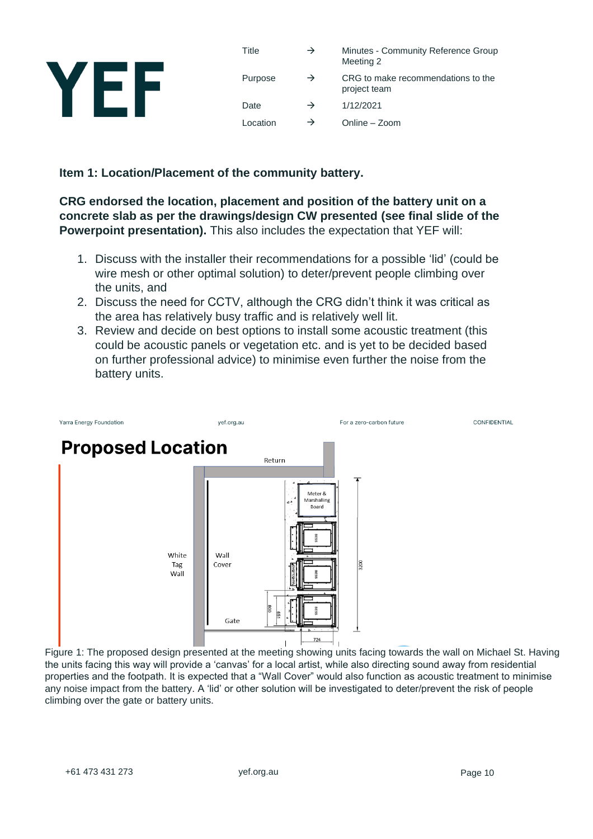

| Title    | $\rightarrow$ | Minutes - Community Reference Group<br>Meeting 2   |
|----------|---------------|----------------------------------------------------|
| Purpose  | $\rightarrow$ | CRG to make recommendations to the<br>project team |
| Date     | $\rightarrow$ | 1/12/2021                                          |
| Location | $\rightarrow$ | Online - Zoom                                      |

#### **Item 1: Location/Placement of the community battery.**

**CRG endorsed the location, placement and position of the battery unit on a concrete slab as per the drawings/design CW presented (see final slide of the Powerpoint presentation).** This also includes the expectation that YEF will:

- 1. Discuss with the installer their recommendations for a possible 'lid' (could be wire mesh or other optimal solution) to deter/prevent people climbing over the units, and
- 2. Discuss the need for CCTV, although the CRG didn't think it was critical as the area has relatively busy traffic and is relatively well lit.
- 3. Review and decide on best options to install some acoustic treatment (this could be acoustic panels or vegetation etc. and is yet to be decided based on further professional advice) to minimise even further the noise from the battery units.



Figure 1: The proposed design presented at the meeting showing units facing towards the wall on Michael St. Having the units facing this way will provide a 'canvas' for a local artist, while also directing sound away from residential properties and the footpath. It is expected that a "Wall Cover" would also function as acoustic treatment to minimise any noise impact from the battery. A 'lid' or other solution will be investigated to deter/prevent the risk of people climbing over the gate or battery units.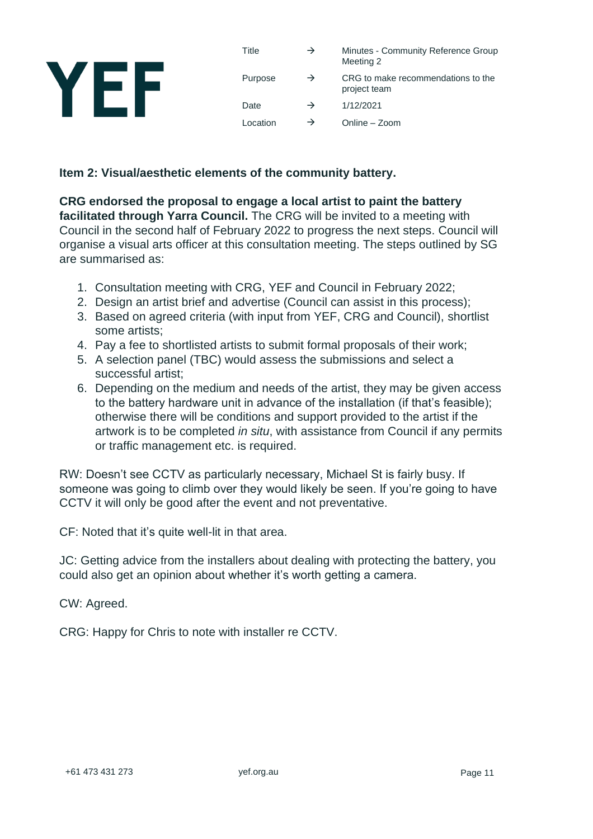| T)<br>V |  |
|---------|--|
|         |  |

| Title    | $\rightarrow$ | Minutes - Community Reference Group<br>Meeting 2   |
|----------|---------------|----------------------------------------------------|
| Purpose  | $\rightarrow$ | CRG to make recommendations to the<br>project team |
| Date     | $\rightarrow$ | 1/12/2021                                          |
| Location | $\rightarrow$ | Online - Zoom                                      |

#### **Item 2: Visual/aesthetic elements of the community battery.**

**CRG endorsed the proposal to engage a local artist to paint the battery facilitated through Yarra Council.** The CRG will be invited to a meeting with Council in the second half of February 2022 to progress the next steps. Council will organise a visual arts officer at this consultation meeting. The steps outlined by SG are summarised as:

- 1. Consultation meeting with CRG, YEF and Council in February 2022;
- 2. Design an artist brief and advertise (Council can assist in this process);
- 3. Based on agreed criteria (with input from YEF, CRG and Council), shortlist some artists:
- 4. Pay a fee to shortlisted artists to submit formal proposals of their work;
- 5. A selection panel (TBC) would assess the submissions and select a successful artist;
- 6. Depending on the medium and needs of the artist, they may be given access to the battery hardware unit in advance of the installation (if that's feasible); otherwise there will be conditions and support provided to the artist if the artwork is to be completed *in situ*, with assistance from Council if any permits or traffic management etc. is required.

RW: Doesn't see CCTV as particularly necessary, Michael St is fairly busy. If someone was going to climb over they would likely be seen. If you're going to have CCTV it will only be good after the event and not preventative.

CF: Noted that it's quite well-lit in that area.

JC: Getting advice from the installers about dealing with protecting the battery, you could also get an opinion about whether it's worth getting a camera.

CW: Agreed.

CRG: Happy for Chris to note with installer re CCTV.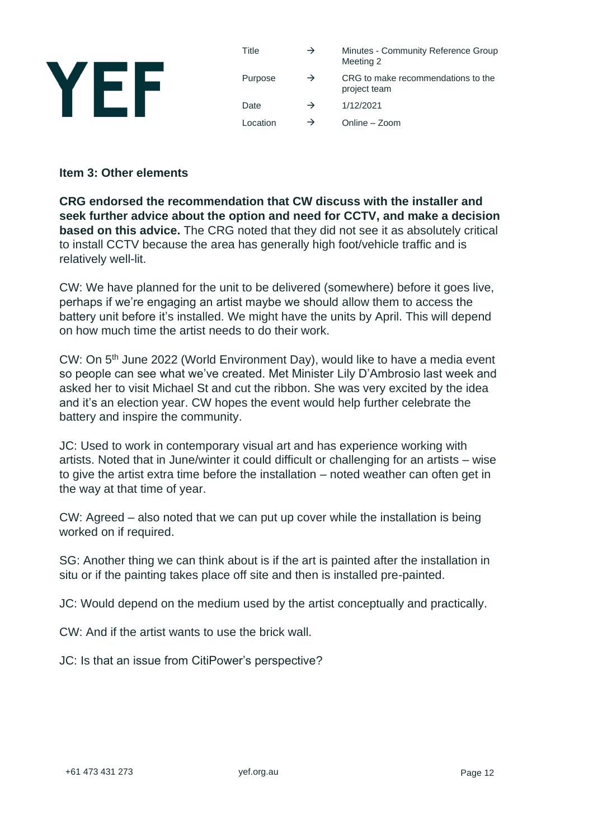

#### **Item 3: Other elements**

**CRG endorsed the recommendation that CW discuss with the installer and seek further advice about the option and need for CCTV, and make a decision based on this advice.** The CRG noted that they did not see it as absolutely critical to install CCTV because the area has generally high foot/vehicle traffic and is relatively well-lit.

CW: We have planned for the unit to be delivered (somewhere) before it goes live, perhaps if we're engaging an artist maybe we should allow them to access the battery unit before it's installed. We might have the units by April. This will depend on how much time the artist needs to do their work.

CW: On 5<sup>th</sup> June 2022 (World Environment Day), would like to have a media event so people can see what we've created. Met Minister Lily D'Ambrosio last week and asked her to visit Michael St and cut the ribbon. She was very excited by the idea and it's an election year. CW hopes the event would help further celebrate the battery and inspire the community.

JC: Used to work in contemporary visual art and has experience working with artists. Noted that in June/winter it could difficult or challenging for an artists – wise to give the artist extra time before the installation – noted weather can often get in the way at that time of year.

CW: Agreed – also noted that we can put up cover while the installation is being worked on if required.

SG: Another thing we can think about is if the art is painted after the installation in situ or if the painting takes place off site and then is installed pre-painted.

JC: Would depend on the medium used by the artist conceptually and practically.

CW: And if the artist wants to use the brick wall.

JC: Is that an issue from CitiPower's perspective?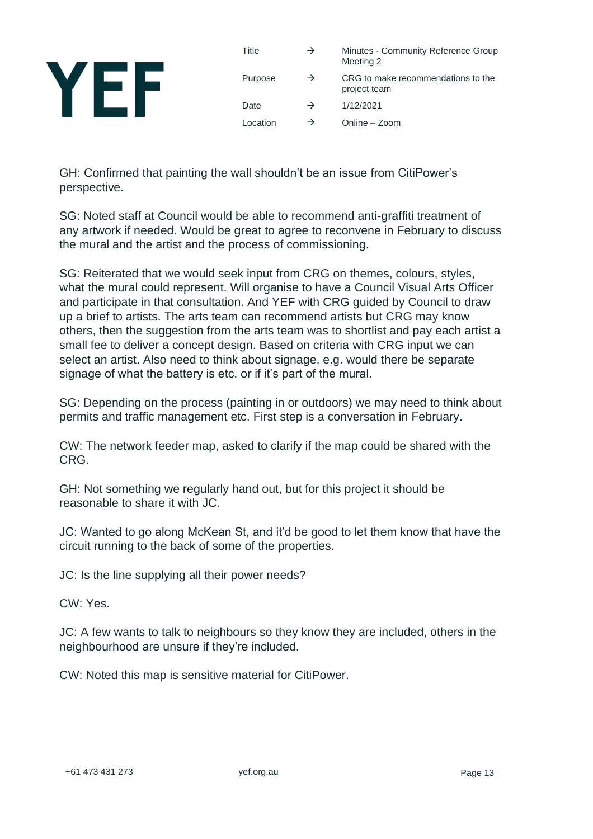

| Title    | $\rightarrow$ | Minutes - Community Reference Group<br>Meeting 2   |
|----------|---------------|----------------------------------------------------|
| Purpose  | $\rightarrow$ | CRG to make recommendations to the<br>project team |
| Date     | $\rightarrow$ | 1/12/2021                                          |
| Location | $\rightarrow$ | Online – Zoom                                      |

GH: Confirmed that painting the wall shouldn't be an issue from CitiPower's perspective.

SG: Noted staff at Council would be able to recommend anti-graffiti treatment of any artwork if needed. Would be great to agree to reconvene in February to discuss the mural and the artist and the process of commissioning.

SG: Reiterated that we would seek input from CRG on themes, colours, styles, what the mural could represent. Will organise to have a Council Visual Arts Officer and participate in that consultation. And YEF with CRG guided by Council to draw up a brief to artists. The arts team can recommend artists but CRG may know others, then the suggestion from the arts team was to shortlist and pay each artist a small fee to deliver a concept design. Based on criteria with CRG input we can select an artist. Also need to think about signage, e.g. would there be separate signage of what the battery is etc. or if it's part of the mural.

SG: Depending on the process (painting in or outdoors) we may need to think about permits and traffic management etc. First step is a conversation in February.

CW: The network feeder map, asked to clarify if the map could be shared with the CRG.

GH: Not something we regularly hand out, but for this project it should be reasonable to share it with JC.

JC: Wanted to go along McKean St, and it'd be good to let them know that have the circuit running to the back of some of the properties.

JC: Is the line supplying all their power needs?

CW: Yes.

JC: A few wants to talk to neighbours so they know they are included, others in the neighbourhood are unsure if they're included.

CW: Noted this map is sensitive material for CitiPower.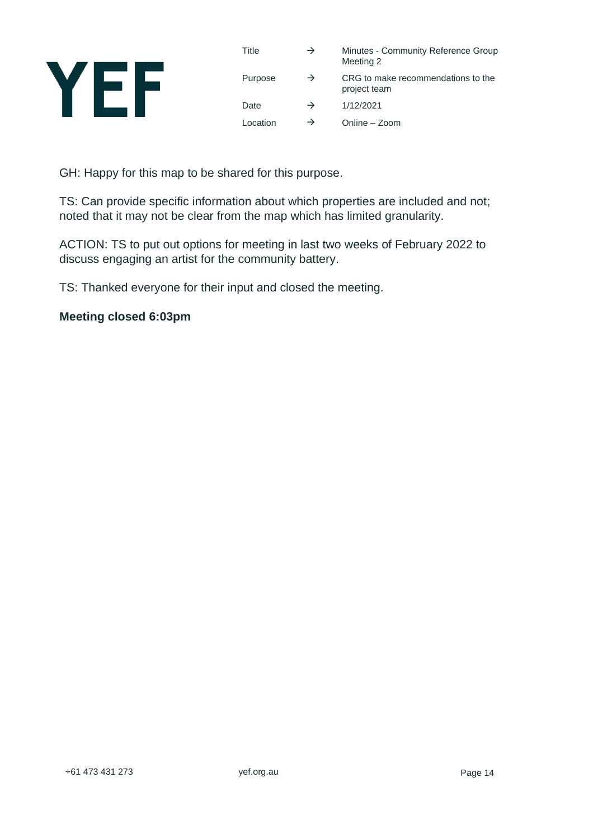

| Title    | $\rightarrow$ | Minutes - Community Reference Group<br>Meeting 2   |
|----------|---------------|----------------------------------------------------|
| Purpose  | $\rightarrow$ | CRG to make recommendations to the<br>project team |
| Date     | $\rightarrow$ | 1/12/2021                                          |
| Location | $\rightarrow$ | Online - Zoom                                      |

GH: Happy for this map to be shared for this purpose.

TS: Can provide specific information about which properties are included and not; noted that it may not be clear from the map which has limited granularity.

ACTION: TS to put out options for meeting in last two weeks of February 2022 to discuss engaging an artist for the community battery.

TS: Thanked everyone for their input and closed the meeting.

#### **Meeting closed 6:03pm**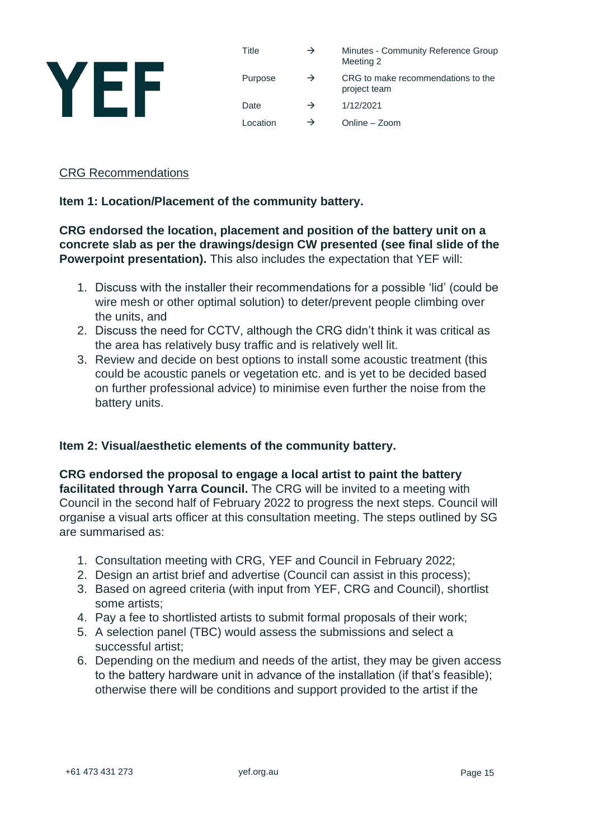

| Title    | $\rightarrow$ | Minutes - Community Reference Group<br>Meeting 2   |
|----------|---------------|----------------------------------------------------|
| Purpose  | $\rightarrow$ | CRG to make recommendations to the<br>project team |
| Date     | $\rightarrow$ | 1/12/2021                                          |
| Location | $\rightarrow$ | Online - Zoom                                      |

#### CRG Recommendations

#### **Item 1: Location/Placement of the community battery.**

#### **CRG endorsed the location, placement and position of the battery unit on a concrete slab as per the drawings/design CW presented (see final slide of the Powerpoint presentation).** This also includes the expectation that YEF will:

- 1. Discuss with the installer their recommendations for a possible 'lid' (could be wire mesh or other optimal solution) to deter/prevent people climbing over the units, and
- 2. Discuss the need for CCTV, although the CRG didn't think it was critical as the area has relatively busy traffic and is relatively well lit.
- 3. Review and decide on best options to install some acoustic treatment (this could be acoustic panels or vegetation etc. and is yet to be decided based on further professional advice) to minimise even further the noise from the battery units.

#### **Item 2: Visual/aesthetic elements of the community battery.**

**CRG endorsed the proposal to engage a local artist to paint the battery facilitated through Yarra Council.** The CRG will be invited to a meeting with Council in the second half of February 2022 to progress the next steps. Council will organise a visual arts officer at this consultation meeting. The steps outlined by SG are summarised as:

- 1. Consultation meeting with CRG, YEF and Council in February 2022;
- 2. Design an artist brief and advertise (Council can assist in this process);
- 3. Based on agreed criteria (with input from YEF, CRG and Council), shortlist some artists;
- 4. Pay a fee to shortlisted artists to submit formal proposals of their work;
- 5. A selection panel (TBC) would assess the submissions and select a successful artist;
- 6. Depending on the medium and needs of the artist, they may be given access to the battery hardware unit in advance of the installation (if that's feasible); otherwise there will be conditions and support provided to the artist if the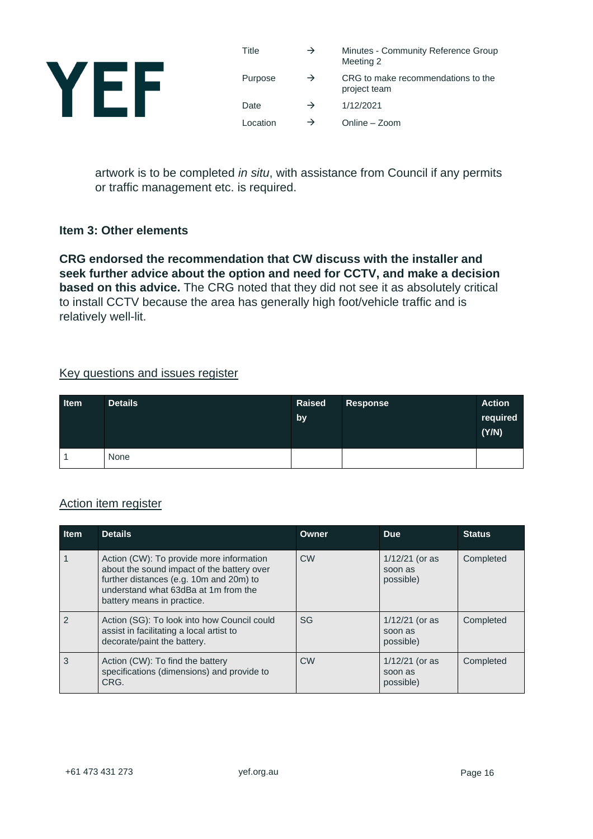

| Title    | $\rightarrow$ | Minutes - Community Reference Group<br>Meeting 2   |
|----------|---------------|----------------------------------------------------|
| Purpose  | $\rightarrow$ | CRG to make recommendations to the<br>project team |
| Date     | $\rightarrow$ | 1/12/2021                                          |
| Location | $\rightarrow$ | Online - Zoom                                      |

artwork is to be completed *in situ*, with assistance from Council if any permits or traffic management etc. is required.

#### **Item 3: Other elements**

**CRG endorsed the recommendation that CW discuss with the installer and seek further advice about the option and need for CCTV, and make a decision based on this advice.** The CRG noted that they did not see it as absolutely critical to install CCTV because the area has generally high foot/vehicle traffic and is relatively well-lit.

#### Key questions and issues register

| <b>Item</b> | <b>Details</b> | Raised<br>by | Response | <b>Action</b><br>required<br>(Y/N) |
|-------------|----------------|--------------|----------|------------------------------------|
|             | None           |              |          |                                    |

### Action item register

| <b>Item</b>   | <b>Details</b>                                                                                                                                                                                          | Owner     | <b>Due</b>                               | <b>Status</b> |
|---------------|---------------------------------------------------------------------------------------------------------------------------------------------------------------------------------------------------------|-----------|------------------------------------------|---------------|
|               | Action (CW): To provide more information<br>about the sound impact of the battery over<br>further distances (e.g. 10m and 20m) to<br>understand what 63dBa at 1m from the<br>battery means in practice. | <b>CW</b> | $1/12/21$ (or as<br>soon as<br>possible) | Completed     |
| $\mathcal{P}$ | Action (SG): To look into how Council could<br>assist in facilitating a local artist to<br>decorate/paint the battery.                                                                                  | SG        | $1/12/21$ (or as<br>soon as<br>possible) | Completed     |
| 3             | Action (CW): To find the battery<br>specifications (dimensions) and provide to<br>CRG.                                                                                                                  | <b>CW</b> | $1/12/21$ (or as<br>soon as<br>possible) | Completed     |